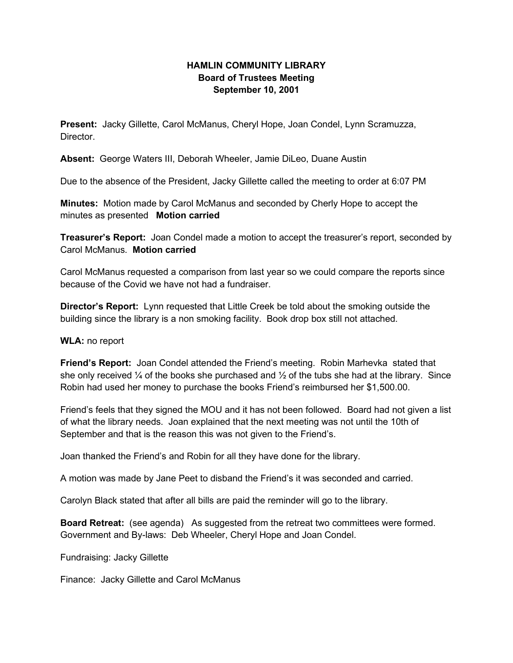## **HAMLIN COMMUNITY LIBRARY Board of Trustees Meeting September 10, 2001**

**Present:** Jacky Gillette, Carol McManus, Cheryl Hope, Joan Condel, Lynn Scramuzza, Director.

**Absent:** George Waters III, Deborah Wheeler, Jamie DiLeo, Duane Austin

Due to the absence of the President, Jacky Gillette called the meeting to order at 6:07 PM

**Minutes:** Motion made by Carol McManus and seconded by Cherly Hope to accept the minutes as presented **Motion carried**

**Treasurer's Report:** Joan Condel made a motion to accept the treasurer's report, seconded by Carol McManus. **Motion carried**

Carol McManus requested a comparison from last year so we could compare the reports since because of the Covid we have not had a fundraiser.

**Director's Report:** Lynn requested that Little Creek be told about the smoking outside the building since the library is a non smoking facility. Book drop box still not attached.

## **WLA:** no report

**Friend's Report:** Joan Condel attended the Friend's meeting. Robin Marhevka stated that she only received  $\frac{1}{4}$  of the books she purchased and  $\frac{1}{2}$  of the tubs she had at the library. Since Robin had used her money to purchase the books Friend's reimbursed her \$1,500.00.

Friend's feels that they signed the MOU and it has not been followed. Board had not given a list of what the library needs. Joan explained that the next meeting was not until the 10th of September and that is the reason this was not given to the Friend's.

Joan thanked the Friend's and Robin for all they have done for the library.

A motion was made by Jane Peet to disband the Friend's it was seconded and carried.

Carolyn Black stated that after all bills are paid the reminder will go to the library.

**Board Retreat:** (see agenda) As suggested from the retreat two committees were formed. Government and By-laws: Deb Wheeler, Cheryl Hope and Joan Condel.

Fundraising: Jacky Gillette

Finance: Jacky Gillette and Carol McManus